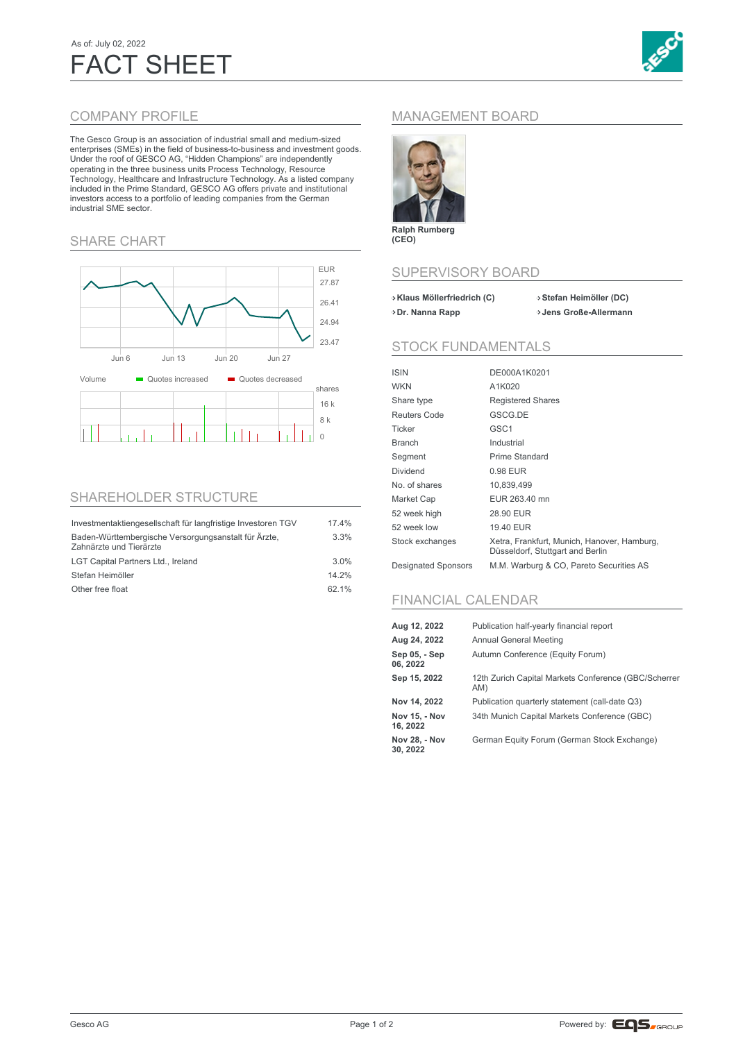# As of: July 02, 2022 FACT SHEET



### COMPANY PROFILE

The Gesco Group is an association of industrial small and medium-sized enterprises (SMEs) in the field of business-to-business and investment goods. Under the roof of GESCO AG, "Hidden Champions" are independently operating in the three business units Process Technology, Resource Technology, Healthcare and Infrastructure Technology. As a listed company included in the Prime Standard, GESCO AG offers private and institutional investors access to a portfolio of leading companies from the German industrial SME sector.

#### SHARE CHART



### SHAREHOLDER STRUCTURE

| Investmentaktiengesellschaft für langfristige Investoren TGV                    | 17.4%   |
|---------------------------------------------------------------------------------|---------|
| Baden-Württembergische Versorgungsanstalt für Ärzte,<br>Zahnärzte und Tierärzte | 3.3%    |
| LGT Capital Partners Ltd., Ireland                                              | $3.0\%$ |
| Stefan Heimöller                                                                | 14.2%   |
| Other free float                                                                | 62.1%   |

## MANAGEMENT BOARD



**Ralph Rumberg (CEO)**

#### SUPERVISORY BOARD

| > Klaus Möllerfriedrich (C) | >Stefan Heimöller (DC) |
|-----------------------------|------------------------|
| >Dr. Nanna Rapp             | >Jens Große-Allermann  |

#### STOCK FUNDAMENTALS

| ISIN                       | DE000A1K0201                                                                    |
|----------------------------|---------------------------------------------------------------------------------|
| <b>WKN</b>                 | A1K020                                                                          |
| Share type                 | <b>Registered Shares</b>                                                        |
| Reuters Code               | GSCG.DE                                                                         |
| Ticker                     | GSC <sub>1</sub>                                                                |
| Branch                     | Industrial                                                                      |
| Segment                    | Prime Standard                                                                  |
| Dividend                   | 0.98 EUR                                                                        |
| No. of shares              | 10,839,499                                                                      |
| Market Cap                 | EUR 263.40 mn                                                                   |
| 52 week high               | 28.90 EUR                                                                       |
| 52 week low                | 19.40 EUR                                                                       |
| Stock exchanges            | Xetra, Frankfurt, Munich, Hanover, Hamburg,<br>Düsseldorf, Stuttgart and Berlin |
| <b>Designated Sponsors</b> | M.M. Warburg & CO, Pareto Securities AS                                         |

## FINANCIAL CALENDAR

| Aug 12, 2022              | Publication half-yearly financial report                    |
|---------------------------|-------------------------------------------------------------|
| Aug 24, 2022              | Annual General Meeting                                      |
| Sep 05, - Sep<br>06, 2022 | Autumn Conference (Equity Forum)                            |
| Sep 15, 2022              | 12th Zurich Capital Markets Conference (GBC/Scherrer<br>AM) |
| Nov 14, 2022              | Publication quarterly statement (call-date Q3)              |
| Nov 15. - Nov<br>16, 2022 | 34th Munich Capital Markets Conference (GBC)                |
| Nov 28, - Nov<br>30, 2022 | German Equity Forum (German Stock Exchange)                 |